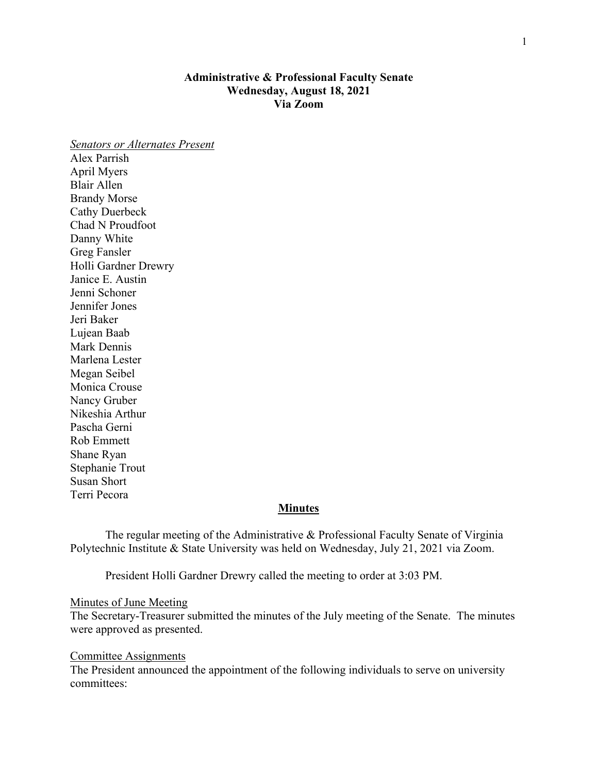# **Administrative & Professional Faculty Senate Wednesday, August 18, 2021 Via Zoom**

*Senators or Alternates Present* Alex Parrish April Myers Blair Allen Brandy Morse Cathy Duerbeck Chad N Proudfoot Danny White Greg Fansler Holli Gardner Drewry Janice E. Austin Jenni Schoner Jennifer Jones Jeri Baker Lujean Baab Mark Dennis Marlena Lester Megan Seibel Monica Crouse Nancy Gruber Nikeshia Arthur Pascha Gerni Rob Emmett Shane Ryan Stephanie Trout Susan Short Terri Pecora

## **Minutes**

The regular meeting of the Administrative & Professional Faculty Senate of Virginia Polytechnic Institute & State University was held on Wednesday, July 21, 2021 via Zoom.

President Holli Gardner Drewry called the meeting to order at 3:03 PM.

### Minutes of June Meeting

The Secretary-Treasurer submitted the minutes of the July meeting of the Senate. The minutes were approved as presented.

#### Committee Assignments

The President announced the appointment of the following individuals to serve on university committees: